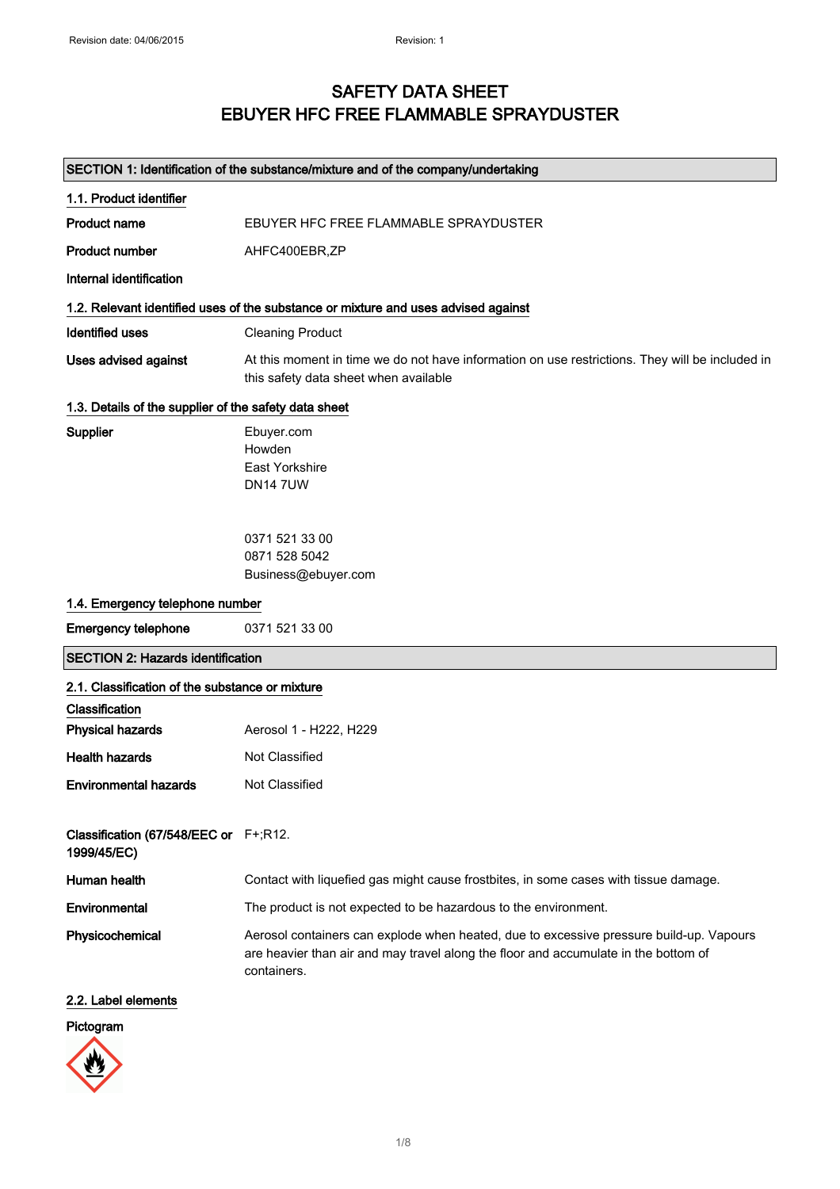## SAFETY DATA SHEET EBUYER HFC FREE FLAMMABLE SPRAYDUSTER

| SECTION 1: Identification of the substance/mixture and of the company/undertaking |                                                                                                                                                                                               |  |
|-----------------------------------------------------------------------------------|-----------------------------------------------------------------------------------------------------------------------------------------------------------------------------------------------|--|
| 1.1. Product identifier                                                           |                                                                                                                                                                                               |  |
| <b>Product name</b>                                                               | EBUYER HFC FREE FLAMMABLE SPRAYDUSTER                                                                                                                                                         |  |
| <b>Product number</b>                                                             | AHFC400EBR,ZP                                                                                                                                                                                 |  |
| Internal identification                                                           |                                                                                                                                                                                               |  |
|                                                                                   | 1.2. Relevant identified uses of the substance or mixture and uses advised against                                                                                                            |  |
| <b>Identified uses</b>                                                            | <b>Cleaning Product</b>                                                                                                                                                                       |  |
| <b>Uses advised against</b>                                                       | At this moment in time we do not have information on use restrictions. They will be included in<br>this safety data sheet when available                                                      |  |
| 1.3. Details of the supplier of the safety data sheet                             |                                                                                                                                                                                               |  |
| <b>Supplier</b>                                                                   | Ebuyer.com<br>Howden<br><b>East Yorkshire</b><br><b>DN147UW</b>                                                                                                                               |  |
|                                                                                   | 0371 521 33 00<br>0871 528 5042                                                                                                                                                               |  |
|                                                                                   | Business@ebuyer.com                                                                                                                                                                           |  |
| 1.4. Emergency telephone number                                                   |                                                                                                                                                                                               |  |
| <b>Emergency telephone</b>                                                        | 0371 521 33 00                                                                                                                                                                                |  |
| <b>SECTION 2: Hazards identification</b>                                          |                                                                                                                                                                                               |  |
| 2.1. Classification of the substance or mixture                                   |                                                                                                                                                                                               |  |
| Classification                                                                    |                                                                                                                                                                                               |  |
| <b>Physical hazards</b>                                                           | Aerosol 1 - H222, H229                                                                                                                                                                        |  |
| <b>Health hazards</b>                                                             | Not Classified                                                                                                                                                                                |  |
| <b>Environmental hazards</b>                                                      | <b>Not Classified</b>                                                                                                                                                                         |  |
| Classification (67/548/EEC or F+;R12.<br>1999/45/EC)                              |                                                                                                                                                                                               |  |
| Human health                                                                      | Contact with liquefied gas might cause frostbites, in some cases with tissue damage.                                                                                                          |  |
| Environmental                                                                     | The product is not expected to be hazardous to the environment.                                                                                                                               |  |
| Physicochemical                                                                   | Aerosol containers can explode when heated, due to excessive pressure build-up. Vapours<br>are heavier than air and may travel along the floor and accumulate in the bottom of<br>containers. |  |
| 2.2. Label elements                                                               |                                                                                                                                                                                               |  |
| Pictogram                                                                         |                                                                                                                                                                                               |  |

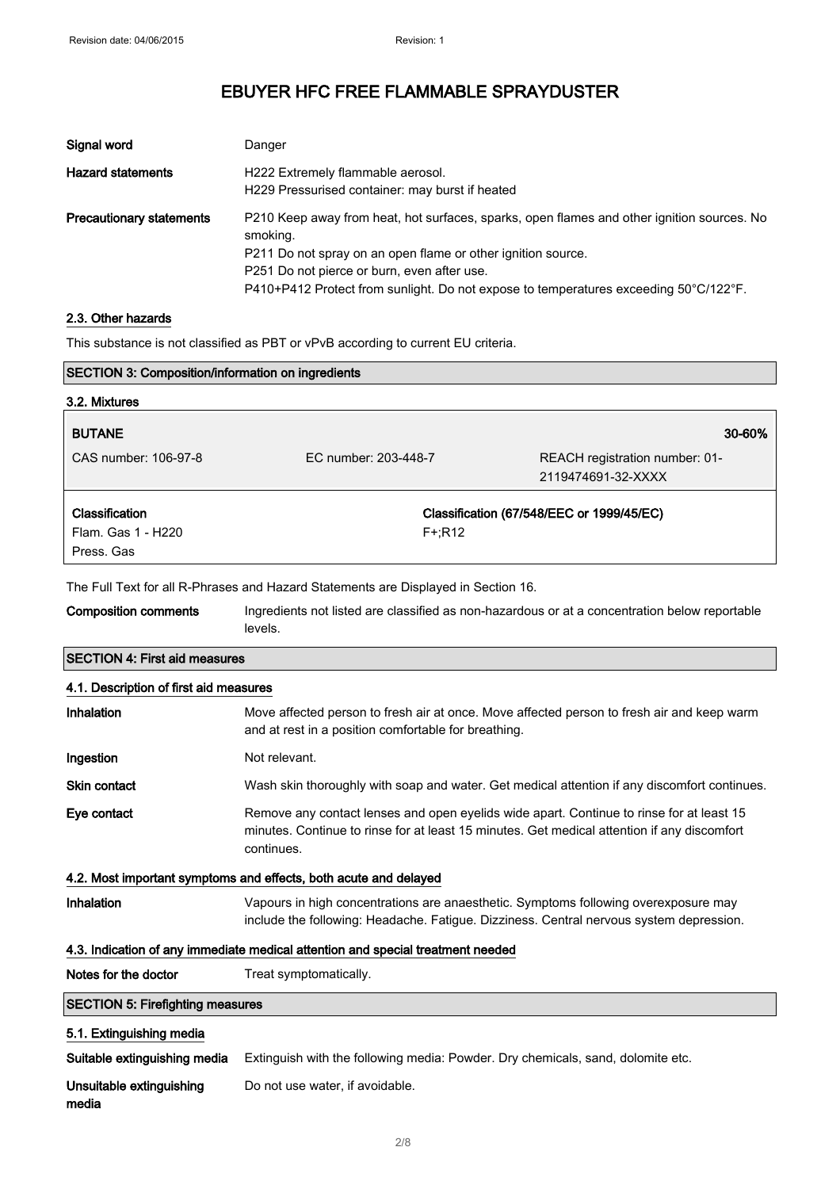| Signal word                     | Danger                                                                                                                                                                                                                                                                                                        |
|---------------------------------|---------------------------------------------------------------------------------------------------------------------------------------------------------------------------------------------------------------------------------------------------------------------------------------------------------------|
| <b>Hazard statements</b>        | H222 Extremely flammable aerosol.<br>H229 Pressurised container: may burst if heated                                                                                                                                                                                                                          |
| <b>Precautionary statements</b> | P210 Keep away from heat, hot surfaces, sparks, open flames and other ignition sources. No<br>smoking.<br>P211 Do not spray on an open flame or other ignition source.<br>P251 Do not pierce or burn, even after use.<br>P410+P412 Protect from sunlight. Do not expose to temperatures exceeding 50°C/122°F. |

### 2.3. Other hazards

This substance is not classified as PBT or vPvB according to current EU criteria.

| <b>SECTION 3: Composition/information on ingredients</b>                           |                                                                                                                                                                                                       |                                                                                                                                                                                |
|------------------------------------------------------------------------------------|-------------------------------------------------------------------------------------------------------------------------------------------------------------------------------------------------------|--------------------------------------------------------------------------------------------------------------------------------------------------------------------------------|
| 3.2. Mixtures                                                                      |                                                                                                                                                                                                       |                                                                                                                                                                                |
| <b>BUTANE</b>                                                                      |                                                                                                                                                                                                       | 30-60%                                                                                                                                                                         |
| CAS number: 106-97-8                                                               | EC number: 203-448-7                                                                                                                                                                                  | REACH registration number: 01-<br>2119474691-32-XXXX                                                                                                                           |
| Classification<br>Flam. Gas 1 - H220<br>Press, Gas                                 | Classification (67/548/EEC or 1999/45/EC)<br>$F + R12$                                                                                                                                                |                                                                                                                                                                                |
| The Full Text for all R-Phrases and Hazard Statements are Displayed in Section 16. |                                                                                                                                                                                                       |                                                                                                                                                                                |
| <b>Composition comments</b>                                                        | Ingredients not listed are classified as non-hazardous or at a concentration below reportable<br>levels.                                                                                              |                                                                                                                                                                                |
| <b>SECTION 4: First aid measures</b>                                               |                                                                                                                                                                                                       |                                                                                                                                                                                |
| 4.1. Description of first aid measures                                             |                                                                                                                                                                                                       |                                                                                                                                                                                |
| Inhalation                                                                         | Move affected person to fresh air at once. Move affected person to fresh air and keep warm<br>and at rest in a position comfortable for breathing.                                                    |                                                                                                                                                                                |
| Ingestion                                                                          | Not relevant.                                                                                                                                                                                         |                                                                                                                                                                                |
| <b>Skin contact</b>                                                                | Wash skin thoroughly with soap and water. Get medical attention if any discomfort continues.                                                                                                          |                                                                                                                                                                                |
| Eye contact                                                                        | Remove any contact lenses and open eyelids wide apart. Continue to rinse for at least 15<br>minutes. Continue to rinse for at least 15 minutes. Get medical attention if any discomfort<br>continues. |                                                                                                                                                                                |
|                                                                                    | 4.2. Most important symptoms and effects, both acute and delayed                                                                                                                                      |                                                                                                                                                                                |
| Inhalation                                                                         |                                                                                                                                                                                                       | Vapours in high concentrations are anaesthetic. Symptoms following overexposure may<br>include the following: Headache. Fatigue. Dizziness. Central nervous system depression. |
| 4.3. Indication of any immediate medical attention and special treatment needed    |                                                                                                                                                                                                       |                                                                                                                                                                                |
| Notes for the doctor                                                               | Treat symptomatically.                                                                                                                                                                                |                                                                                                                                                                                |
| <b>SECTION 5: Firefighting measures</b>                                            |                                                                                                                                                                                                       |                                                                                                                                                                                |
| 5.1. Extinguishing media                                                           |                                                                                                                                                                                                       |                                                                                                                                                                                |
| Suitable extinguishing media                                                       | Extinguish with the following media: Powder. Dry chemicals, sand, dolomite etc.                                                                                                                       |                                                                                                                                                                                |
| Unsuitable extinguishing<br>media                                                  | Do not use water, if avoidable.                                                                                                                                                                       |                                                                                                                                                                                |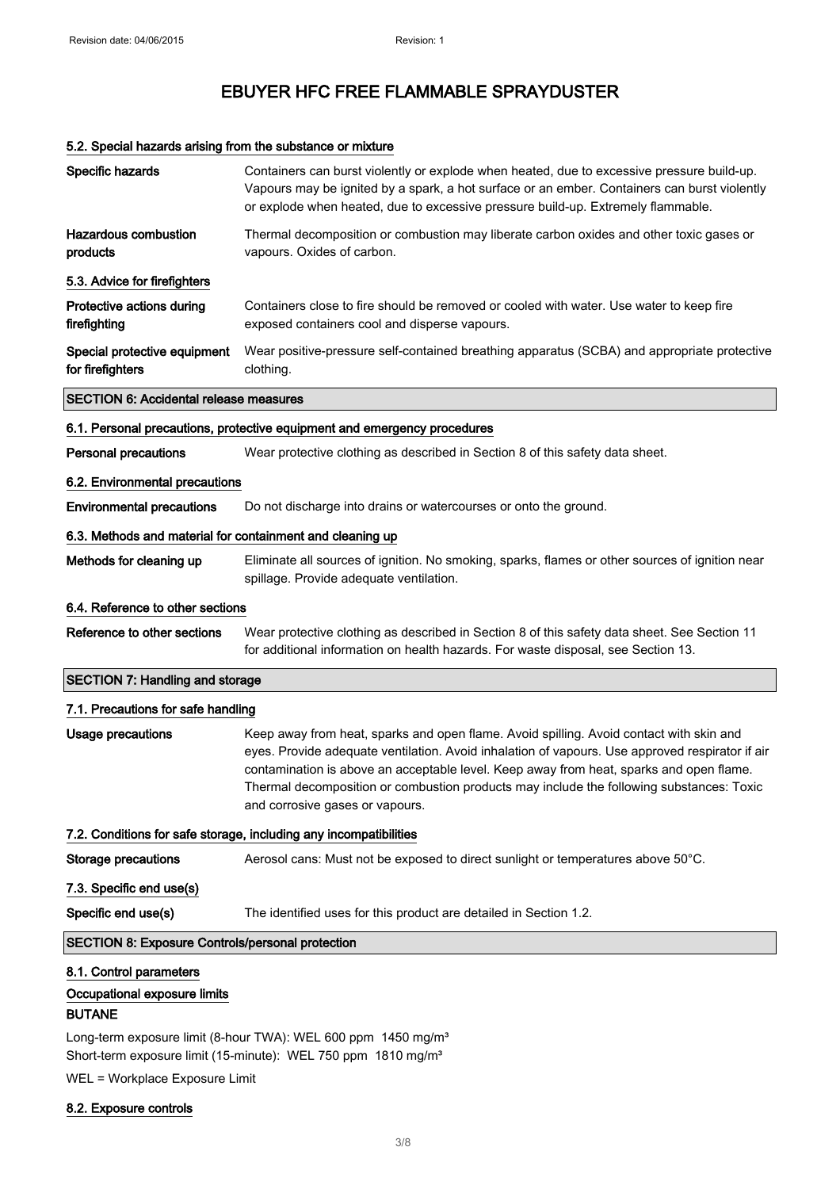### 5.2. Special hazards arising from the substance or mixture

| Specific hazards                                                         | Containers can burst violently or explode when heated, due to excessive pressure build-up.<br>Vapours may be ignited by a spark, a hot surface or an ember. Containers can burst violently<br>or explode when heated, due to excessive pressure build-up. Extremely flammable.                                                                                                                                       |  |
|--------------------------------------------------------------------------|----------------------------------------------------------------------------------------------------------------------------------------------------------------------------------------------------------------------------------------------------------------------------------------------------------------------------------------------------------------------------------------------------------------------|--|
| <b>Hazardous combustion</b><br>products                                  | Thermal decomposition or combustion may liberate carbon oxides and other toxic gases or<br>vapours. Oxides of carbon.                                                                                                                                                                                                                                                                                                |  |
| 5.3. Advice for firefighters                                             |                                                                                                                                                                                                                                                                                                                                                                                                                      |  |
| Protective actions during<br>firefighting                                | Containers close to fire should be removed or cooled with water. Use water to keep fire<br>exposed containers cool and disperse vapours.                                                                                                                                                                                                                                                                             |  |
| Special protective equipment<br>for firefighters                         | Wear positive-pressure self-contained breathing apparatus (SCBA) and appropriate protective<br>clothing.                                                                                                                                                                                                                                                                                                             |  |
| <b>SECTION 6: Accidental release measures</b>                            |                                                                                                                                                                                                                                                                                                                                                                                                                      |  |
|                                                                          | 6.1. Personal precautions, protective equipment and emergency procedures                                                                                                                                                                                                                                                                                                                                             |  |
| <b>Personal precautions</b>                                              | Wear protective clothing as described in Section 8 of this safety data sheet.                                                                                                                                                                                                                                                                                                                                        |  |
| 6.2. Environmental precautions                                           |                                                                                                                                                                                                                                                                                                                                                                                                                      |  |
| <b>Environmental precautions</b>                                         | Do not discharge into drains or watercourses or onto the ground.                                                                                                                                                                                                                                                                                                                                                     |  |
| 6.3. Methods and material for containment and cleaning up                |                                                                                                                                                                                                                                                                                                                                                                                                                      |  |
| Methods for cleaning up                                                  | Eliminate all sources of ignition. No smoking, sparks, flames or other sources of ignition near<br>spillage. Provide adequate ventilation.                                                                                                                                                                                                                                                                           |  |
| 6.4. Reference to other sections                                         |                                                                                                                                                                                                                                                                                                                                                                                                                      |  |
| Reference to other sections                                              | Wear protective clothing as described in Section 8 of this safety data sheet. See Section 11<br>for additional information on health hazards. For waste disposal, see Section 13.                                                                                                                                                                                                                                    |  |
| <b>SECTION 7: Handling and storage</b>                                   |                                                                                                                                                                                                                                                                                                                                                                                                                      |  |
| 7.1. Precautions for safe handling                                       |                                                                                                                                                                                                                                                                                                                                                                                                                      |  |
| Usage precautions                                                        | Keep away from heat, sparks and open flame. Avoid spilling. Avoid contact with skin and<br>eyes. Provide adequate ventilation. Avoid inhalation of vapours. Use approved respirator if air<br>contamination is above an acceptable level. Keep away from heat, sparks and open flame.<br>Thermal decomposition or combustion products may include the following substances: Toxic<br>and corrosive gases or vapours. |  |
|                                                                          | 7.2. Conditions for safe storage, including any incompatibilities                                                                                                                                                                                                                                                                                                                                                    |  |
| <b>Storage precautions</b>                                               | Aerosol cans: Must not be exposed to direct sunlight or temperatures above 50°C.                                                                                                                                                                                                                                                                                                                                     |  |
| 7.3. Specific end use(s)                                                 |                                                                                                                                                                                                                                                                                                                                                                                                                      |  |
| Specific end use(s)                                                      | The identified uses for this product are detailed in Section 1.2.                                                                                                                                                                                                                                                                                                                                                    |  |
| <b>SECTION 8: Exposure Controls/personal protection</b>                  |                                                                                                                                                                                                                                                                                                                                                                                                                      |  |
| 8.1. Control parameters<br>Occupational exposure limits<br><b>BUTANE</b> |                                                                                                                                                                                                                                                                                                                                                                                                                      |  |
|                                                                          | Long-term exposure limit (8-hour TWA): WEL 600 ppm 1450 mg/m <sup>3</sup>                                                                                                                                                                                                                                                                                                                                            |  |

Short-term exposure limit (15-minute): WEL 750 ppm 1810 mg/m<sup>3</sup>

WEL = Workplace Exposure Limit

### 8.2. Exposure controls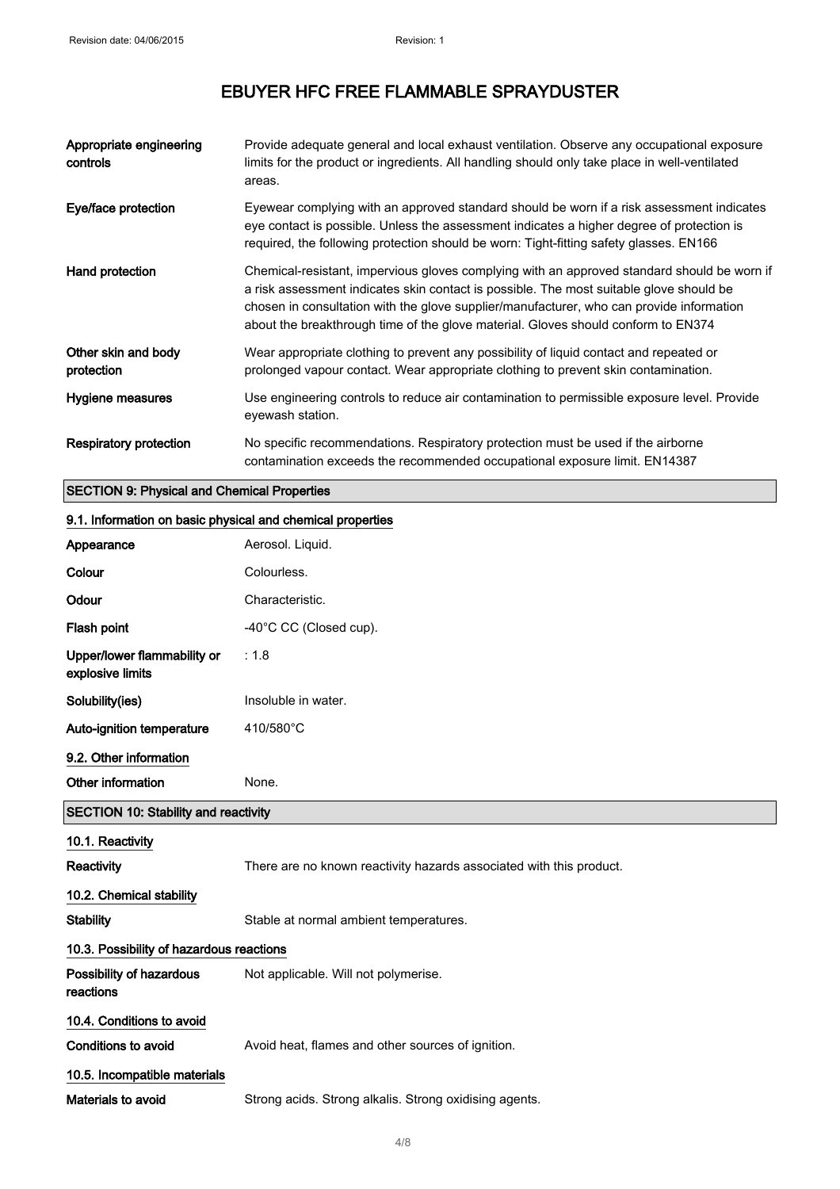| Appropriate engineering<br>controls | Provide adequate general and local exhaust ventilation. Observe any occupational exposure<br>limits for the product or ingredients. All handling should only take place in well-ventilated<br>areas.                                                                                                                                                                    |
|-------------------------------------|-------------------------------------------------------------------------------------------------------------------------------------------------------------------------------------------------------------------------------------------------------------------------------------------------------------------------------------------------------------------------|
| Eye/face protection                 | Eyewear complying with an approved standard should be worn if a risk assessment indicates<br>eye contact is possible. Unless the assessment indicates a higher degree of protection is<br>required, the following protection should be worn: Tight-fitting safety glasses. EN166                                                                                        |
| Hand protection                     | Chemical-resistant, impervious gloves complying with an approved standard should be worn if<br>a risk assessment indicates skin contact is possible. The most suitable glove should be<br>chosen in consultation with the glove supplier/manufacturer, who can provide information<br>about the breakthrough time of the glove material. Gloves should conform to EN374 |
| Other skin and body<br>protection   | Wear appropriate clothing to prevent any possibility of liquid contact and repeated or<br>prolonged vapour contact. Wear appropriate clothing to prevent skin contamination.                                                                                                                                                                                            |
| Hygiene measures                    | Use engineering controls to reduce air contamination to permissible exposure level. Provide<br>eyewash station.                                                                                                                                                                                                                                                         |
| Respiratory protection              | No specific recommendations. Respiratory protection must be used if the airborne<br>contamination exceeds the recommended occupational exposure limit. EN14387                                                                                                                                                                                                          |

## SECTION 9: Physical and Chemical Properties

| 9.1. Information on basic physical and chemical properties |                                                                     |  |
|------------------------------------------------------------|---------------------------------------------------------------------|--|
| Appearance                                                 | Aerosol. Liquid.                                                    |  |
| Colour                                                     | Colourless.                                                         |  |
| Odour                                                      | Characteristic.                                                     |  |
| Flash point                                                | -40°C CC (Closed cup).                                              |  |
| Upper/lower flammability or<br>explosive limits            | : 1.8                                                               |  |
| Solubility(ies)                                            | Insoluble in water.                                                 |  |
| Auto-ignition temperature                                  | 410/580°C                                                           |  |
| 9.2. Other information                                     |                                                                     |  |
| Other information                                          | None.                                                               |  |
| <b>SECTION 10: Stability and reactivity</b>                |                                                                     |  |
|                                                            |                                                                     |  |
| 10.1. Reactivity                                           |                                                                     |  |
| Reactivity                                                 | There are no known reactivity hazards associated with this product. |  |
| 10.2. Chemical stability                                   |                                                                     |  |
| <b>Stability</b>                                           | Stable at normal ambient temperatures.                              |  |
| 10.3. Possibility of hazardous reactions                   |                                                                     |  |
| Possibility of hazardous<br>reactions                      | Not applicable. Will not polymerise.                                |  |
| 10.4. Conditions to avoid                                  |                                                                     |  |
| <b>Conditions to avoid</b>                                 | Avoid heat, flames and other sources of ignition.                   |  |
| 10.5. Incompatible materials                               |                                                                     |  |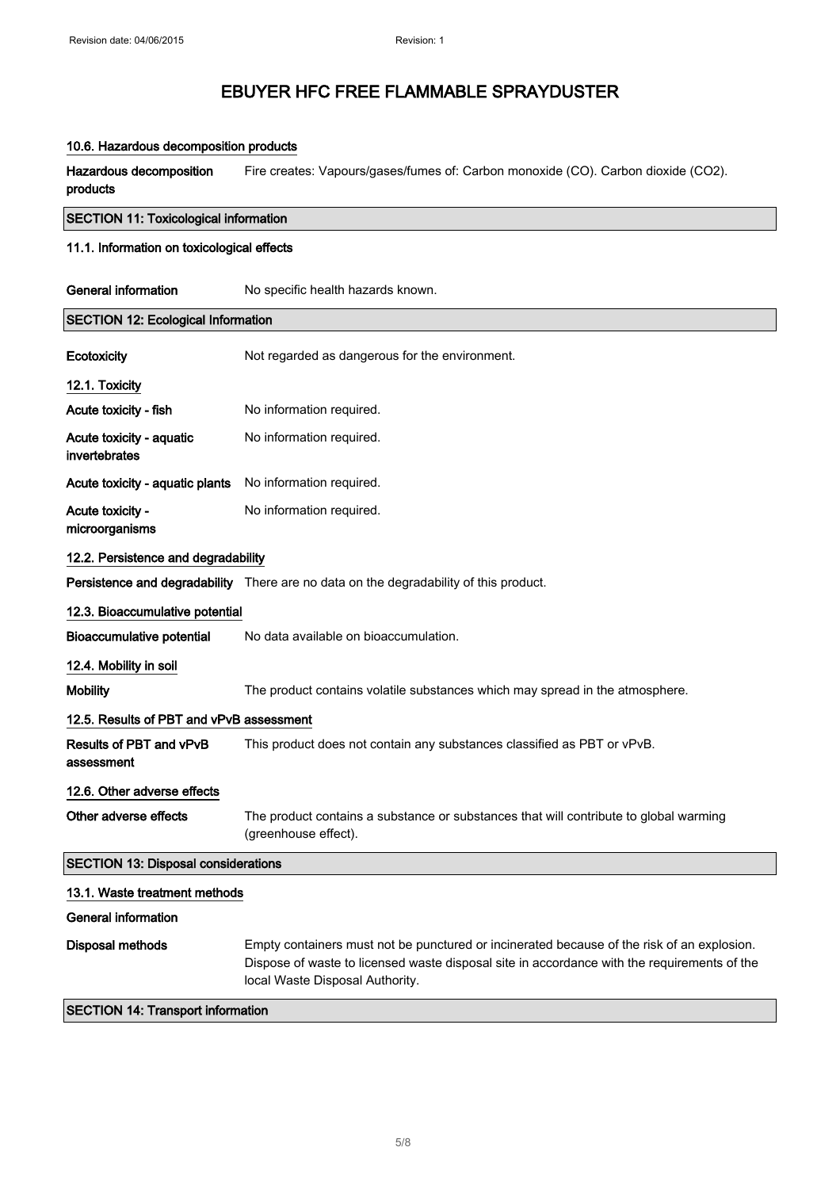### 10.6. Hazardous decomposition products

Hazardous decomposition products Fire creates: Vapours/gases/fumes of: Carbon monoxide (CO). Carbon dioxide (CO2).

# SECTION 11: Toxicological information

## 11.1. Information on toxicological effects

| <b>General information</b>                 | No specific health hazards known.                                                                                                                                                                                            |  |
|--------------------------------------------|------------------------------------------------------------------------------------------------------------------------------------------------------------------------------------------------------------------------------|--|
| <b>SECTION 12: Ecological Information</b>  |                                                                                                                                                                                                                              |  |
| Ecotoxicity                                | Not regarded as dangerous for the environment.                                                                                                                                                                               |  |
| 12.1. Toxicity                             |                                                                                                                                                                                                                              |  |
| Acute toxicity - fish                      | No information required.                                                                                                                                                                                                     |  |
| Acute toxicity - aquatic<br>invertebrates  | No information required.                                                                                                                                                                                                     |  |
| Acute toxicity - aquatic plants            | No information required.                                                                                                                                                                                                     |  |
| Acute toxicity -<br>microorganisms         | No information required.                                                                                                                                                                                                     |  |
| 12.2. Persistence and degradability        |                                                                                                                                                                                                                              |  |
|                                            | Persistence and degradability There are no data on the degradability of this product.                                                                                                                                        |  |
| 12.3. Bioaccumulative potential            |                                                                                                                                                                                                                              |  |
| <b>Bioaccumulative potential</b>           | No data available on bioaccumulation.                                                                                                                                                                                        |  |
| 12.4. Mobility in soil                     |                                                                                                                                                                                                                              |  |
| <b>Mobility</b>                            | The product contains volatile substances which may spread in the atmosphere.                                                                                                                                                 |  |
| 12.5. Results of PBT and vPvB assessment   |                                                                                                                                                                                                                              |  |
| Results of PBT and vPvB<br>assessment      | This product does not contain any substances classified as PBT or vPvB.                                                                                                                                                      |  |
| 12.6. Other adverse effects                |                                                                                                                                                                                                                              |  |
| Other adverse effects                      | The product contains a substance or substances that will contribute to global warming<br>(greenhouse effect).                                                                                                                |  |
| <b>SECTION 13: Disposal considerations</b> |                                                                                                                                                                                                                              |  |
| 13.1. Waste treatment methods              |                                                                                                                                                                                                                              |  |
| <b>General information</b>                 |                                                                                                                                                                                                                              |  |
| Disposal methods                           | Empty containers must not be punctured or incinerated because of the risk of an explosion.<br>Dispose of waste to licensed waste disposal site in accordance with the requirements of the<br>local Waste Disposal Authority. |  |
| <b>SECTION 14: Transport information</b>   |                                                                                                                                                                                                                              |  |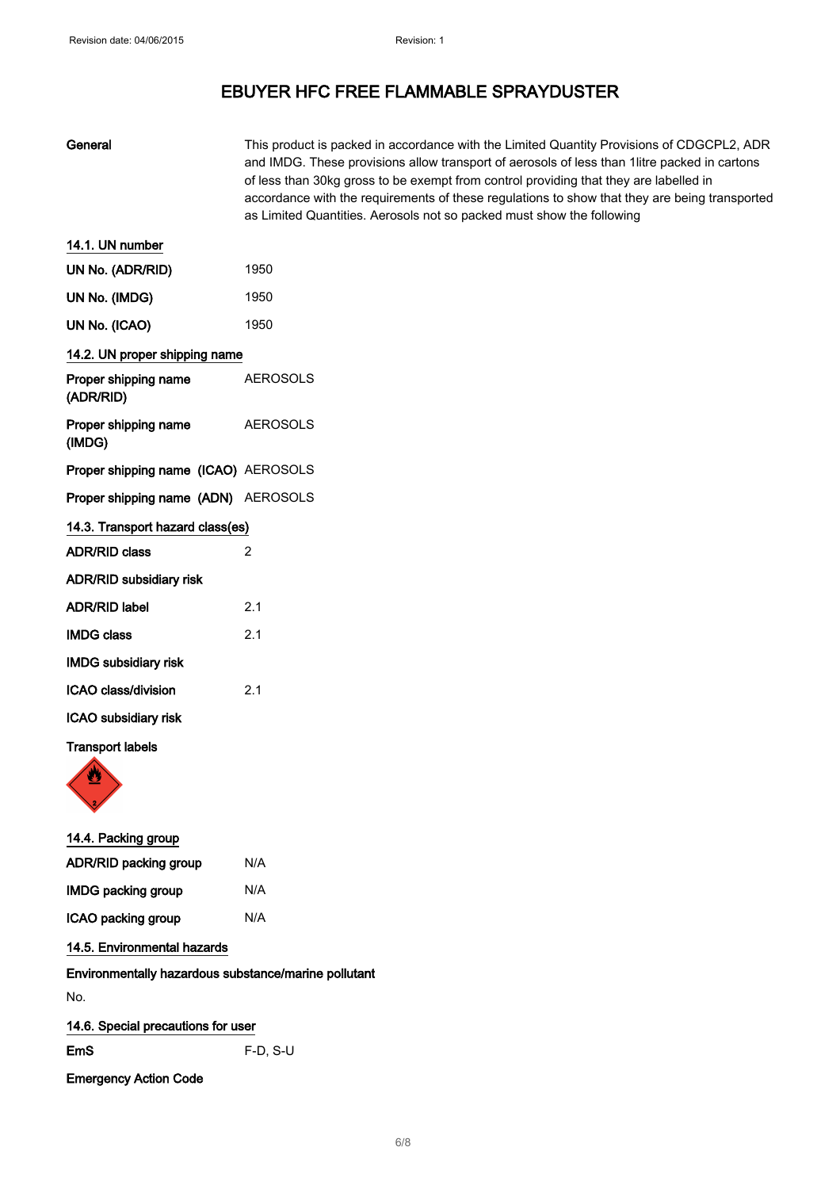General This product is packed in accordance with the Limited Quantity Provisions of CDGCPL2, ADR

|                                                      | and IMDG. These provisions allow transport of aerosols of less than 1litre packed in cartons<br>of less than 30kg gross to be exempt from control providing that they are labelled in<br>accordance with the requirements of these regulations to show that they are being transported<br>as Limited Quantities. Aerosols not so packed must show the following |
|------------------------------------------------------|-----------------------------------------------------------------------------------------------------------------------------------------------------------------------------------------------------------------------------------------------------------------------------------------------------------------------------------------------------------------|
| 14.1. UN number                                      |                                                                                                                                                                                                                                                                                                                                                                 |
| UN No. (ADR/RID)                                     | 1950                                                                                                                                                                                                                                                                                                                                                            |
| UN No. (IMDG)                                        | 1950                                                                                                                                                                                                                                                                                                                                                            |
| UN No. (ICAO)                                        | 1950                                                                                                                                                                                                                                                                                                                                                            |
| 14.2. UN proper shipping name                        |                                                                                                                                                                                                                                                                                                                                                                 |
| Proper shipping name<br>(ADR/RID)                    | <b>AEROSOLS</b>                                                                                                                                                                                                                                                                                                                                                 |
| Proper shipping name<br>(IMDG)                       | <b>AEROSOLS</b>                                                                                                                                                                                                                                                                                                                                                 |
| Proper shipping name (ICAO) AEROSOLS                 |                                                                                                                                                                                                                                                                                                                                                                 |
| Proper shipping name (ADN) AEROSOLS                  |                                                                                                                                                                                                                                                                                                                                                                 |
| 14.3. Transport hazard class(es)                     |                                                                                                                                                                                                                                                                                                                                                                 |
| <b>ADR/RID class</b>                                 | 2                                                                                                                                                                                                                                                                                                                                                               |
| ADR/RID subsidiary risk                              |                                                                                                                                                                                                                                                                                                                                                                 |
| <b>ADR/RID label</b>                                 | 2.1                                                                                                                                                                                                                                                                                                                                                             |
| <b>IMDG class</b>                                    | 2.1                                                                                                                                                                                                                                                                                                                                                             |
| <b>IMDG subsidiary risk</b>                          |                                                                                                                                                                                                                                                                                                                                                                 |
| ICAO class/division                                  | 2.1                                                                                                                                                                                                                                                                                                                                                             |
| ICAO subsidiary risk                                 |                                                                                                                                                                                                                                                                                                                                                                 |
| <b>Transport labels</b>                              |                                                                                                                                                                                                                                                                                                                                                                 |
| U                                                    |                                                                                                                                                                                                                                                                                                                                                                 |
| 14.4. Packing group                                  |                                                                                                                                                                                                                                                                                                                                                                 |
| ADR/RID packing group                                | N/A                                                                                                                                                                                                                                                                                                                                                             |
| <b>IMDG packing group</b>                            | N/A                                                                                                                                                                                                                                                                                                                                                             |
| ICAO packing group                                   | N/A                                                                                                                                                                                                                                                                                                                                                             |
| 14.5. Environmental hazards                          |                                                                                                                                                                                                                                                                                                                                                                 |
| Environmentally hazardous substance/marine pollutant |                                                                                                                                                                                                                                                                                                                                                                 |
| No.                                                  |                                                                                                                                                                                                                                                                                                                                                                 |
| 14.6. Special precautions for user                   |                                                                                                                                                                                                                                                                                                                                                                 |
| <b>EmS</b>                                           | F-D, S-U                                                                                                                                                                                                                                                                                                                                                        |
| <b>Emergency Action Code</b>                         |                                                                                                                                                                                                                                                                                                                                                                 |
|                                                      |                                                                                                                                                                                                                                                                                                                                                                 |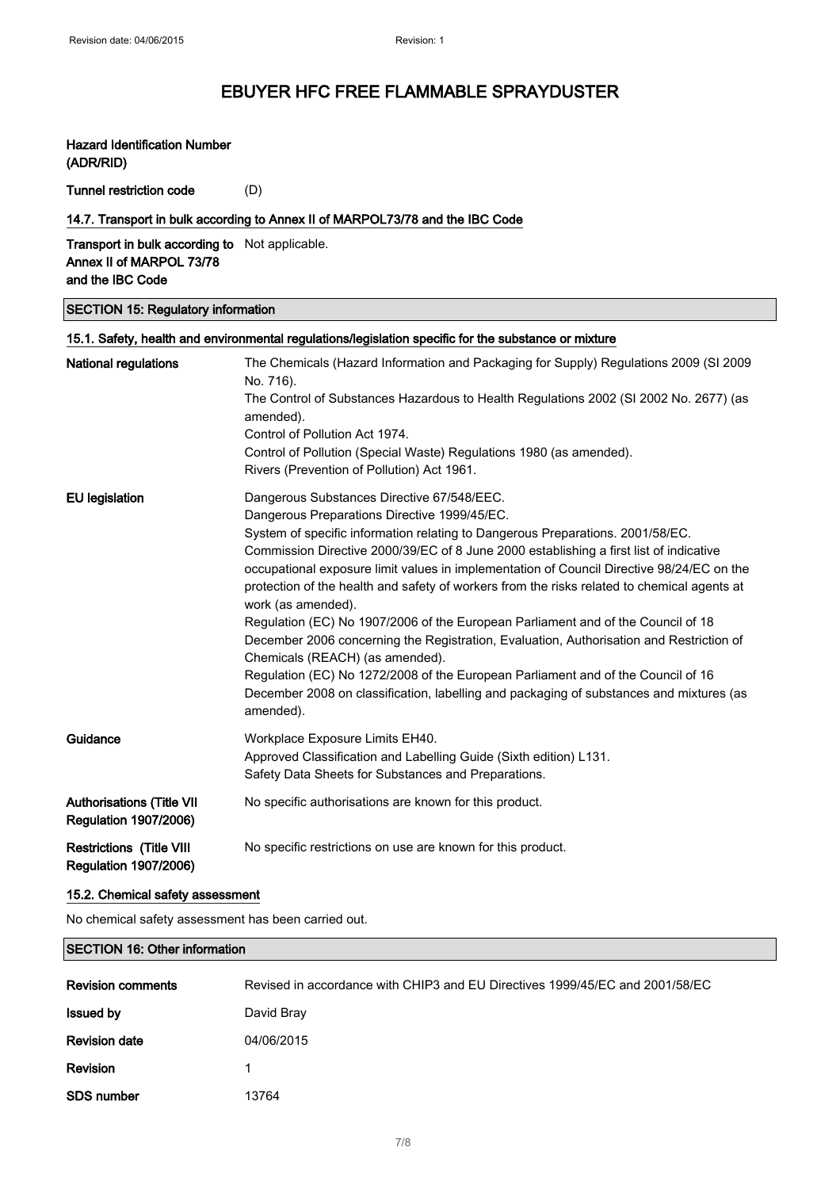### Hazard Identification Number (ADR/RID)

Tunnel restriction code (D)

### 14.7. Transport in bulk according to Annex II of MARPOL73/78 and the IBC Code

Transport in bulk according to Not applicable. Annex II of MARPOL 73/78 and the IBC Code

SECTION 15: Regulatory information

|                                                                  | 15.1. Safety, health and environmental regulations/legislation specific for the substance or mixture                                                                                                           |
|------------------------------------------------------------------|----------------------------------------------------------------------------------------------------------------------------------------------------------------------------------------------------------------|
| <b>National regulations</b>                                      | The Chemicals (Hazard Information and Packaging for Supply) Regulations 2009 (SI 2009<br>No. 716).                                                                                                             |
|                                                                  | The Control of Substances Hazardous to Health Regulations 2002 (SI 2002 No. 2677) (as<br>amended).                                                                                                             |
|                                                                  | Control of Pollution Act 1974.                                                                                                                                                                                 |
|                                                                  | Control of Pollution (Special Waste) Regulations 1980 (as amended).                                                                                                                                            |
|                                                                  | Rivers (Prevention of Pollution) Act 1961.                                                                                                                                                                     |
| <b>EU</b> legislation                                            | Dangerous Substances Directive 67/548/EEC.                                                                                                                                                                     |
|                                                                  | Dangerous Preparations Directive 1999/45/EC.                                                                                                                                                                   |
|                                                                  | System of specific information relating to Dangerous Preparations. 2001/58/EC.                                                                                                                                 |
|                                                                  | Commission Directive 2000/39/EC of 8 June 2000 establishing a first list of indicative                                                                                                                         |
|                                                                  | occupational exposure limit values in implementation of Council Directive 98/24/EC on the                                                                                                                      |
|                                                                  | protection of the health and safety of workers from the risks related to chemical agents at<br>work (as amended).                                                                                              |
|                                                                  | Regulation (EC) No 1907/2006 of the European Parliament and of the Council of 18<br>December 2006 concerning the Registration, Evaluation, Authorisation and Restriction of<br>Chemicals (REACH) (as amended). |
|                                                                  | Regulation (EC) No 1272/2008 of the European Parliament and of the Council of 16<br>December 2008 on classification, labelling and packaging of substances and mixtures (as<br>amended).                       |
| Guidance                                                         | Workplace Exposure Limits EH40.                                                                                                                                                                                |
|                                                                  | Approved Classification and Labelling Guide (Sixth edition) L131.                                                                                                                                              |
|                                                                  | Safety Data Sheets for Substances and Preparations.                                                                                                                                                            |
| <b>Authorisations (Title VII</b><br><b>Regulation 1907/2006)</b> | No specific authorisations are known for this product.                                                                                                                                                         |
| <b>Restrictions (Title VIII</b><br><b>Regulation 1907/2006)</b>  | No specific restrictions on use are known for this product.                                                                                                                                                    |

### 15.2. Chemical safety assessment

No chemical safety assessment has been carried out.

### SECTION 16: Other information

| <b>Revision comments</b> | Revised in accordance with CHIP3 and EU Directives 1999/45/EC and 2001/58/EC |
|--------------------------|------------------------------------------------------------------------------|
| <b>Issued by</b>         | David Bray                                                                   |
| <b>Revision date</b>     | 04/06/2015                                                                   |
| Revision                 |                                                                              |
| <b>SDS number</b>        | 13764                                                                        |